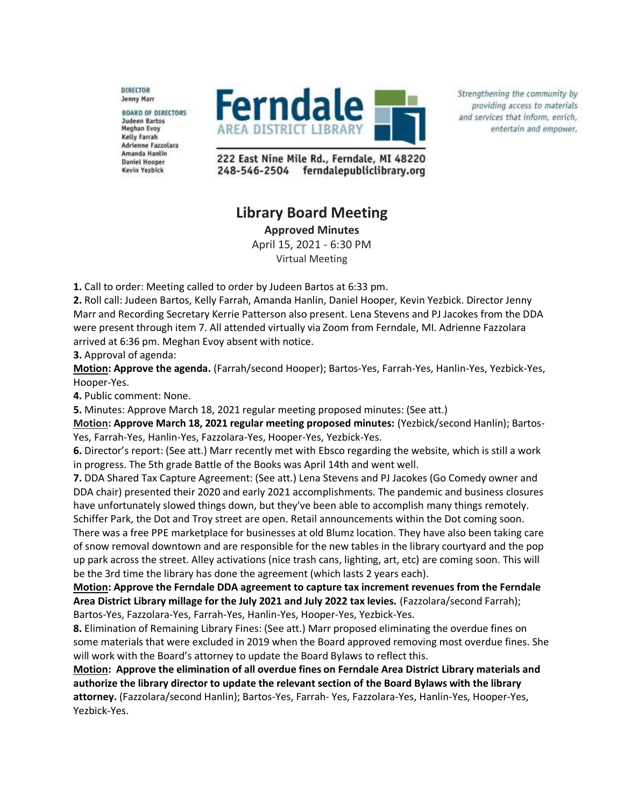**DIRECTOR Jenny Marr** 

**BOARD OF DIRECTORS Judeen Bartos** Meghan Evoy Kelly Farrah **Adrienne Fazzolara** Amanda Hanlin **Daniel Hooper** Kevin Yezbick



Strengthening the community by providing access to materials and services that inform, enrich, entertain and empower.

222 East Nine Mile Rd., Ferndale, MI 48220 248-546-2504 ferndalepubliclibrary.org

## **Library Board Meeting**

**Approved Minutes**

April 15, 2021 - 6:30 PM Virtual Meeting

**1.** Call to order: Meeting called to order by Judeen Bartos at 6:33 pm.

**2.** Roll call: Judeen Bartos, Kelly Farrah, Amanda Hanlin, Daniel Hooper, Kevin Yezbick. Director Jenny Marr and Recording Secretary Kerrie Patterson also present. Lena Stevens and PJ Jacokes from the DDA were present through item 7. All attended virtually via Zoom from Ferndale, MI. Adrienne Fazzolara arrived at 6:36 pm. Meghan Evoy absent with notice.

**3.** Approval of agenda:

**Motion: Approve the agenda.** (Farrah/second Hooper); Bartos-Yes, Farrah-Yes, Hanlin-Yes, Yezbick-Yes, Hooper-Yes.

**4.** Public comment: None.

**5.** Minutes: Approve March 18, 2021 regular meeting proposed minutes: (See att.)

**Motion: Approve March 18, 2021 regular meeting proposed minutes:** (Yezbick/second Hanlin); Bartos-Yes, Farrah-Yes, Hanlin-Yes, Fazzolara-Yes, Hooper-Yes, Yezbick-Yes.

**6.** Director's report: (See att.) Marr recently met with Ebsco regarding the website, which is still a work in progress. The 5th grade Battle of the Books was April 14th and went well.

**7.** DDA Shared Tax Capture Agreement: (See att.) Lena Stevens and PJ Jacokes (Go Comedy owner and DDA chair) presented their 2020 and early 2021 accomplishments. The pandemic and business closures have unfortunately slowed things down, but they've been able to accomplish many things remotely.

Schiffer Park, the Dot and Troy street are open. Retail announcements within the Dot coming soon. There was a free PPE marketplace for businesses at old Blumz location. They have also been taking care of snow removal downtown and are responsible for the new tables in the library courtyard and the pop up park across the street. Alley activations (nice trash cans, lighting, art, etc) are coming soon. This will be the 3rd time the library has done the agreement (which lasts 2 years each).

**Motion: Approve the Ferndale DDA agreement to capture tax increment revenues from the Ferndale Area District Library millage for the July 2021 and July 2022 tax levies.** (Fazzolara/second Farrah); Bartos-Yes, Fazzolara-Yes, Farrah-Yes, Hanlin-Yes, Hooper-Yes, Yezbick-Yes.

**8.** Elimination of Remaining Library Fines: (See att.) Marr proposed eliminating the overdue fines on some materials that were excluded in 2019 when the Board approved removing most overdue fines. She will work with the Board's attorney to update the Board Bylaws to reflect this.

**Motion: Approve the elimination of all overdue fines on Ferndale Area District Library materials and authorize the library director to update the relevant section of the Board Bylaws with the library attorney.** (Fazzolara/second Hanlin); Bartos-Yes, Farrah- Yes, Fazzolara-Yes, Hanlin-Yes, Hooper-Yes, Yezbick-Yes.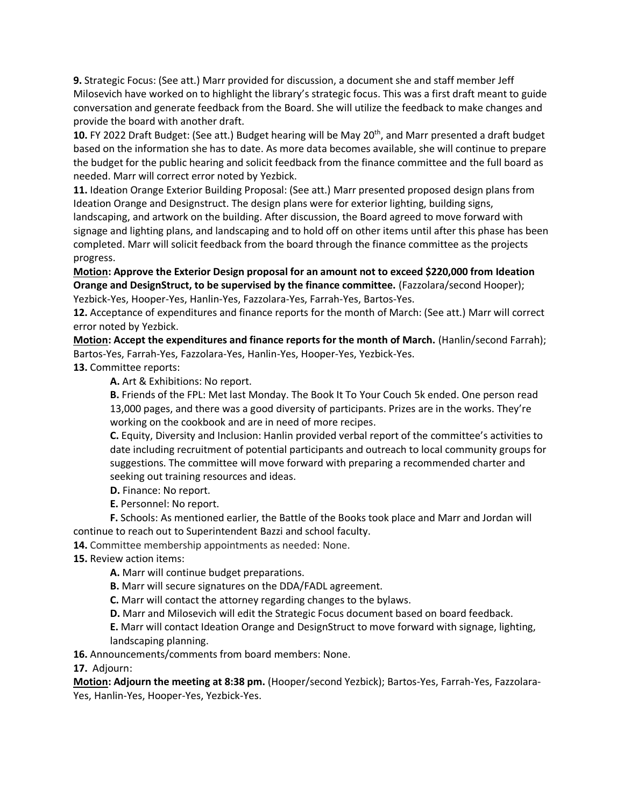**9.** Strategic Focus: (See att.) Marr provided for discussion, a document she and staff member Jeff Milosevich have worked on to highlight the library's strategic focus. This was a first draft meant to guide conversation and generate feedback from the Board. She will utilize the feedback to make changes and provide the board with another draft.

10. FY 2022 Draft Budget: (See att.) Budget hearing will be May 20<sup>th</sup>, and Marr presented a draft budget based on the information she has to date. As more data becomes available, she will continue to prepare the budget for the public hearing and solicit feedback from the finance committee and the full board as needed. Marr will correct error noted by Yezbick.

**11.** Ideation Orange Exterior Building Proposal: (See att.) Marr presented proposed design plans from Ideation Orange and Designstruct. The design plans were for exterior lighting, building signs,

landscaping, and artwork on the building. After discussion, the Board agreed to move forward with signage and lighting plans, and landscaping and to hold off on other items until after this phase has been completed. Marr will solicit feedback from the board through the finance committee as the projects progress.

**Motion: Approve the Exterior Design proposal for an amount not to exceed \$220,000 from Ideation Orange and DesignStruct, to be supervised by the finance committee.** (Fazzolara/second Hooper); Yezbick-Yes, Hooper-Yes, Hanlin-Yes, Fazzolara-Yes, Farrah-Yes, Bartos-Yes.

**12.** Acceptance of expenditures and finance reports for the month of March: (See att.) Marr will correct error noted by Yezbick.

**Motion: Accept the expenditures and finance reports for the month of March.** (Hanlin/second Farrah); Bartos-Yes, Farrah-Yes, Fazzolara-Yes, Hanlin-Yes, Hooper-Yes, Yezbick-Yes.

**13.** Committee reports:

**A.** Art & Exhibitions: No report.

**B.** Friends of the FPL: Met last Monday. The Book It To Your Couch 5k ended. One person read 13,000 pages, and there was a good diversity of participants. Prizes are in the works. They're working on the cookbook and are in need of more recipes.

**C.** Equity, Diversity and Inclusion: Hanlin provided verbal report of the committee's activities to date including recruitment of potential participants and outreach to local community groups for suggestions. The committee will move forward with preparing a recommended charter and seeking out training resources and ideas.

- **D.** Finance: No report.
- **E.** Personnel: No report.

**F.** Schools: As mentioned earlier, the Battle of the Books took place and Marr and Jordan will continue to reach out to Superintendent Bazzi and school faculty.

**14.** Committee membership appointments as needed: None.

**15.** Review action items:

**A.** Marr will continue budget preparations.

**B.** Marr will secure signatures on the DDA/FADL agreement.

**C.** Marr will contact the attorney regarding changes to the bylaws.

**D.** Marr and Milosevich will edit the Strategic Focus document based on board feedback.

**E.** Marr will contact Ideation Orange and DesignStruct to move forward with signage, lighting, landscaping planning.

**16.** Announcements/comments from board members: None.

**17.** Adjourn:

**Motion: Adjourn the meeting at 8:38 pm.** (Hooper/second Yezbick); Bartos-Yes, Farrah-Yes, Fazzolara-Yes, Hanlin-Yes, Hooper-Yes, Yezbick-Yes.